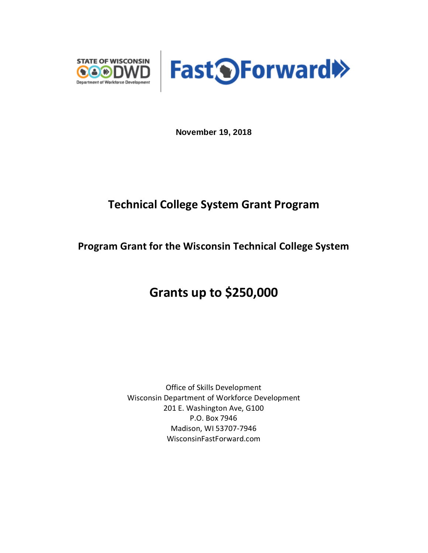



**November 19, 2018**

## **Technical College System Grant Program**

## **Program Grant for the Wisconsin Technical College System**

# **Grants up to \$250,000**

Office of Skills Development Wisconsin Department of Workforce Development 201 E. Washington Ave, G100 P.O. Box 7946 Madison, WI 53707-7946 WisconsinFastForward.com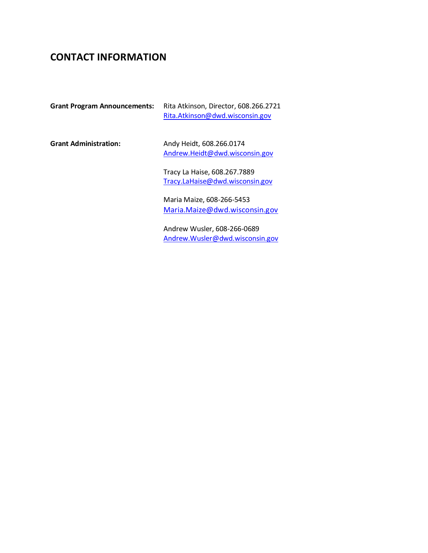## **CONTACT INFORMATION**

| <b>Grant Program Announcements:</b> | Rita Atkinson, Director, 608.266.2721<br>Rita.Atkinson@dwd.wisconsin.gov |
|-------------------------------------|--------------------------------------------------------------------------|
| <b>Grant Administration:</b>        | Andy Heidt, 608.266.0174<br>Andrew.Heidt@dwd.wisconsin.gov               |
|                                     | Tracy La Haise, 608.267.7889<br>Tracy.LaHaise@dwd.wisconsin.gov          |
|                                     | Maria Maize, 608-266-5453<br>Maria.Maize@dwd.wisconsin.gov               |

Andrew Wusler, 608-266-0689 [Andrew.Wusler@dwd.wisconsin.gov](mailto:Andrew.Wusler@dwd.wisconsin.gov)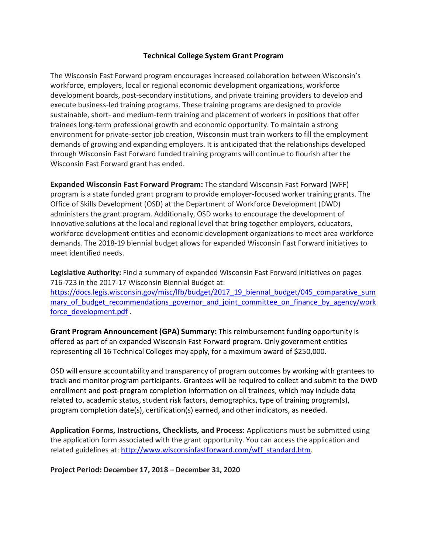#### **Technical College System Grant Program**

The Wisconsin Fast Forward program encourages increased collaboration between Wisconsin's workforce, employers, local or regional economic development organizations, workforce development boards, post-secondary institutions, and private training providers to develop and execute business-led training programs. These training programs are designed to provide sustainable, short- and medium-term training and placement of workers in positions that offer trainees long-term professional growth and economic opportunity. To maintain a strong environment for private-sector job creation, Wisconsin must train workers to fill the employment demands of growing and expanding employers. It is anticipated that the relationships developed through Wisconsin Fast Forward funded training programs will continue to flourish after the Wisconsin Fast Forward grant has ended.

**Expanded Wisconsin Fast Forward Program:** The standard Wisconsin Fast Forward (WFF) program is a state funded grant program to provide employer-focused worker training grants. The Office of Skills Development (OSD) at the Department of Workforce Development (DWD) administers the grant program. Additionally, OSD works to encourage the development of innovative solutions at the local and regional level that bring together employers, educators, workforce development entities and economic development organizations to meet area workforce demands. The 2018-19 biennial budget allows for expanded Wisconsin Fast Forward initiatives to meet identified needs.

**Legislative Authority:** Find a summary of expanded Wisconsin Fast Forward initiatives on pages 716-723 in the 2017-17 Wisconsin Biennial Budget at: [https://docs.legis.wisconsin.gov/misc/lfb/budget/2017\\_19\\_biennal\\_budget/045\\_comparative\\_sum](https://docs.legis.wisconsin.gov/misc/lfb/budget/2017_19_biennal_budget/045_comparative_summary_of_budget_recommendations_governor_and_joint_committee_on_finance_by_agency/workforce_development.pdf) mary of budget recommendations governor and joint committee on finance by agency/work [force\\_development.pdf](https://docs.legis.wisconsin.gov/misc/lfb/budget/2017_19_biennal_budget/045_comparative_summary_of_budget_recommendations_governor_and_joint_committee_on_finance_by_agency/workforce_development.pdf) .

**Grant Program Announcement (GPA) Summary:** This reimbursement funding opportunity is offered as part of an expanded Wisconsin Fast Forward program. Only government entities representing all 16 Technical Colleges may apply, for a maximum award of \$250,000.

OSD will ensure accountability and transparency of program outcomes by working with grantees to track and monitor program participants. Grantees will be required to collect and submit to the DWD enrollment and post-program completion information on all trainees, which may include data related to, academic status, student risk factors, demographics, type of training program(s), program completion date(s), certification(s) earned, and other indicators, as needed.

**Application Forms, Instructions, Checklists, and Process:** Applications must be submitted using the application form associated with the grant opportunity. You can access the application and related guidelines at: [http://www.wisconsinfastforward.com/wff\\_standard.htm.](http://www.wisconsinfastforward.com/wff_standard.htm)

**Project Period: December 17, 2018 – December 31, 2020**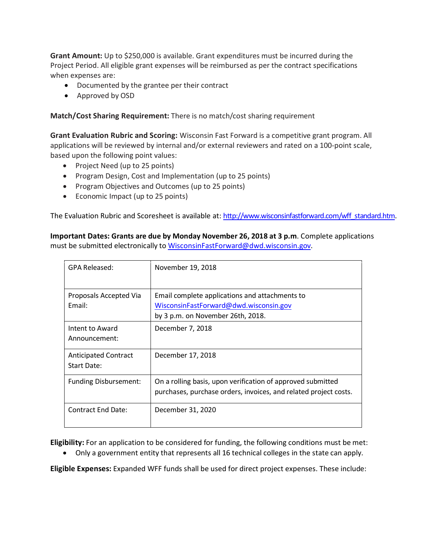**Grant Amount:** Up to \$250,000 is available. Grant expenditures must be incurred during the Project Period. All eligible grant expenses will be reimbursed as per the contract specifications when expenses are:

- Documented by the grantee per their contract
- Approved by OSD

**Match/Cost Sharing Requirement:** There is no match/cost sharing requirement

**Grant Evaluation Rubric and Scoring:** Wisconsin Fast Forward is a competitive grant program. All applications will be reviewed by internal and/or external reviewers and rated on a 100-point scale, based upon the following point values:

- Project Need (up to 25 points)
- Program Design, Cost and Implementation (up to 25 points)
- Program Objectives and Outcomes (up to 25 points)
- Economic Impact (up to 25 points)

The Evaluation Rubric and Scoresheet is available at: [http://www.wisconsinfastforward.com/wff\\_standard.htm.](http://www.wisconsinfastforward.com/wff_standard.htm)

**Important Dates: Grants are due by Monday November 26, 2018 at 3 p.m**. Complete applications must be submitted electronically to [WisconsinFastForward@dwd.wisconsin.gov.](mailto:WisconsinFastForward@dwd.wisconsin.gov)

| GPA Released:                              | November 19, 2018                                                                                                               |
|--------------------------------------------|---------------------------------------------------------------------------------------------------------------------------------|
| Proposals Accepted Via<br>Fmail:           | Email complete applications and attachments to<br>WisconsinFastForward@dwd.wisconsin.gov<br>by 3 p.m. on November 26th, 2018.   |
| Intent to Award<br>Announcement:           | December 7, 2018                                                                                                                |
| <b>Anticipated Contract</b><br>Start Date: | December 17, 2018                                                                                                               |
| Funding Disbursement:                      | On a rolling basis, upon verification of approved submitted<br>purchases, purchase orders, invoices, and related project costs. |
| <b>Contract End Date:</b>                  | December 31, 2020                                                                                                               |

**Eligibility:** For an application to be considered for funding, the following conditions must be met:

• Only a government entity that represents all 16 technical colleges in the state can apply.

**Eligible Expenses:** Expanded WFF funds shall be used for direct project expenses. These include: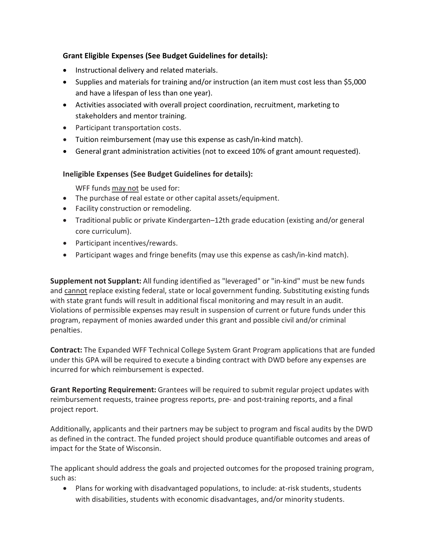### **Grant Eligible Expenses (See Budget Guidelines for details):**

- Instructional delivery and related materials.
- Supplies and materials for training and/or instruction (an item must cost less than \$5,000 and have a lifespan of less than one year).
- Activities associated with overall project coordination, recruitment, marketing to stakeholders and mentor training.
- Participant transportation costs.
- Tuition reimbursement (may use this expense as cash/in-kind match).
- General grant administration activities (not to exceed 10% of grant amount requested).

#### **Ineligible Expenses (See Budget Guidelines for details):**

WFF funds may not be used for:

- The purchase of real estate or other capital assets/equipment.
- Facility construction or remodeling.
- Traditional public or private Kindergarten–12th grade education (existing and/or general core curriculum).
- Participant incentives/rewards.
- Participant wages and fringe benefits (may use this expense as cash/in-kind match).

**Supplement not Supplant:** All funding identified as "leveraged" or "in-kind" must be new funds and cannot replace existing federal, state or local government funding. Substituting existing funds with state grant funds will result in additional fiscal monitoring and may result in an audit. Violations of permissible expenses may result in suspension of current or future funds under this program, repayment of monies awarded under this grant and possible civil and/or criminal penalties.

**Contract:** The Expanded WFF Technical College System Grant Program applications that are funded under this GPA will be required to execute a binding contract with DWD before any expenses are incurred for which reimbursement is expected.

**Grant Reporting Requirement:** Grantees will be required to submit regular project updates with reimbursement requests, trainee progress reports, pre- and post-training reports, and a final project report.

Additionally, applicants and their partners may be subject to program and fiscal audits by the DWD as defined in the contract. The funded project should produce quantifiable outcomes and areas of impact for the State of Wisconsin.

The applicant should address the goals and projected outcomes for the proposed training program, such as:

• Plans for working with disadvantaged populations, to include: at-risk students, students with disabilities, students with economic disadvantages, and/or minority students.